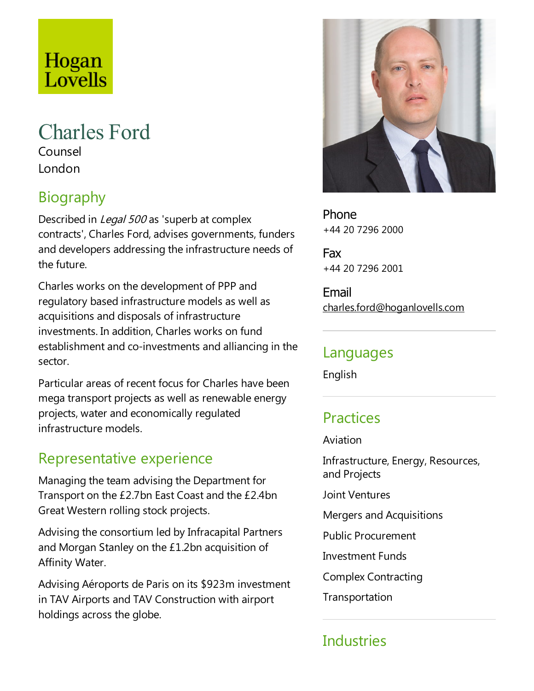# Hogan Lovells

# Charles Ford

Counsel London

# Biography

Described in Legal 500 as 'superb at complex contracts', Charles Ford, advises governments, funders and developers addressing the infrastructure needs of the future.

Charles works on the development of PPP and regulatory based infrastructure models as well as acquisitions and disposals of infrastructure investments. In addition, Charles works on fund establishment and co-investments and alliancing in the sector.

Particular areas of recent focus for Charles have been mega transport projects as well as renewable energy projects, water and economically regulated infrastructure models.

### Representative experience

Managing the team advising the Department for Transport on the £2.7bn East Coastand the £2.4bn Great Western rolling stock projects.

Advising the consortium led by Infracapital Partners and Morgan Stanley on the £1.2bn acquisition of Affinity Water.

Advising Aéroports de Paris on its \$923m investment in TAV Airports and TAV Construction with airport holdings across the globe.



Phone +44 20 7296 2000

Fax +44 20 7296 2001

Email charles.ford@hoganlovells.com

#### Languages

English

## **Practices**

#### Aviation

Infrastructure, Energy, Resources, and Projects

Joint Ventures

Mergers and Acquisitions

Public Procurement

**Investment Funds** 

Complex Contracting

Transportation

# **Industries**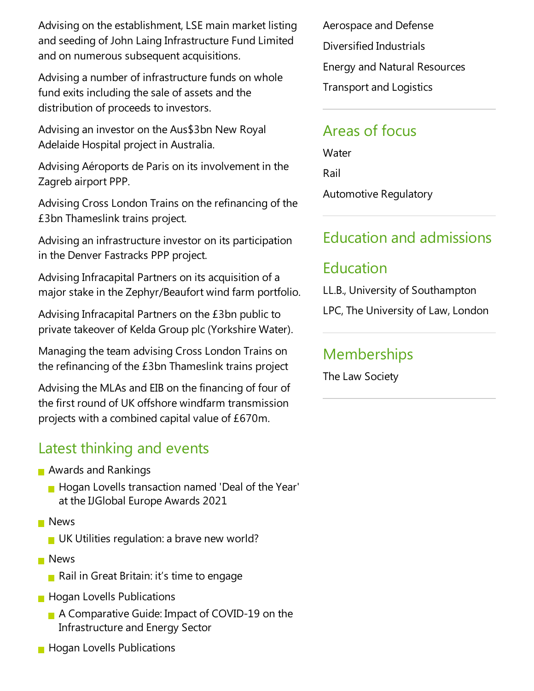Advising on the establishment, LSE main market listing and seeding of John Laing Infrastructure Fund Limited and on numerous subsequent acquisitions.

Advising a number of infrastructure funds on whole fund exits including the sale of assets and the distribution of proceeds to investors.

Advising an investor on the Aus\$3bn New Royal Adelaide Hospital project in Australia.

Advising Aéroports de Paris on its involvement in the Zagreb airport PPP.

Advising Cross London Trains on the refinancing of the £3bn Thameslink trains project.

Advising an infrastructure investor on its participation in the Denver Fastracks PPP project.

Advising Infracapital Partners on its acquisition of a major stake in the Zephyr/Beaufort wind farm portfolio.

Advising Infracapital Partners on the £3bn public to private takeover of Kelda Group plc (Yorkshire Water).

Managing the team advising Cross London Trains on the refinancing of the  $£3$ bn Thameslink trains project

Advising the MLAs and EIB on the financing of four of the first round of UK offshore windfarm transmission projects with a combined capital value of £670m.

#### Latest thinking and events

- **Awards and Rankings** 
	- Hogan Lovells transaction named 'Deal of the Year' at the IJGlobal Europe Awards 2021
- **News** 
	- $\blacksquare$  UK Utilities regulation: a brave new world?
- **News** 
	- Rail in Great Britain: it's time to engage
- **Hogan Lovells Publications** 
	- A Comparative Guide: Impact of COVID-19 on the Infrastructure and Energy Sector
- **Hogan Lovells Publications**

Aerospace and Defense Diversified Industrials Energy and Natural Resources **Transport and Logistics** 

#### Areas of focus

**Water** Rail Automotive Regulatory

## Education and admissions

# Education

LL.B., University of Southampton

LPC, The University of Law, London

### **Memberships**

The Law Society